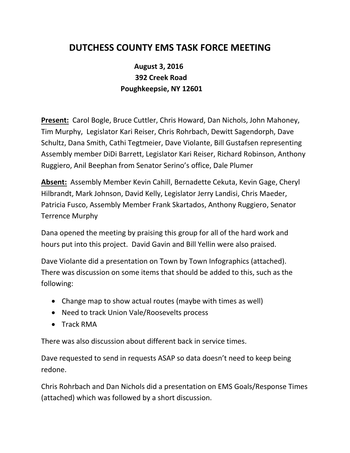## **DUTCHESS COUNTY EMS TASK FORCE MEETING**

## **August 3, 2016 392 Creek Road Poughkeepsie, NY 12601**

**Present:** Carol Bogle, Bruce Cuttler, Chris Howard, Dan Nichols, John Mahoney, Tim Murphy, Legislator Kari Reiser, Chris Rohrbach, Dewitt Sagendorph, Dave Schultz, Dana Smith, Cathi Tegtmeier, Dave Violante, Bill Gustafsen representing Assembly member DiDi Barrett, Legislator Kari Reiser, Richard Robinson, Anthony Ruggiero, Anil Beephan from Senator Serino's office, Dale Plumer

**Absent:** Assembly Member Kevin Cahill, Bernadette Cekuta, Kevin Gage, Cheryl Hilbrandt, Mark Johnson, David Kelly, Legislator Jerry Landisi, Chris Maeder, Patricia Fusco, Assembly Member Frank Skartados, Anthony Ruggiero, Senator Terrence Murphy

Dana opened the meeting by praising this group for all of the hard work and hours put into this project. David Gavin and Bill Yellin were also praised.

Dave Violante did a presentation on Town by Town Infographics (attached). There was discussion on some items that should be added to this, such as the following:

- Change map to show actual routes (maybe with times as well)
- Need to track Union Vale/Roosevelts process
- Track RMA

There was also discussion about different back in service times.

Dave requested to send in requests ASAP so data doesn't need to keep being redone.

Chris Rohrbach and Dan Nichols did a presentation on EMS Goals/Response Times (attached) which was followed by a short discussion.